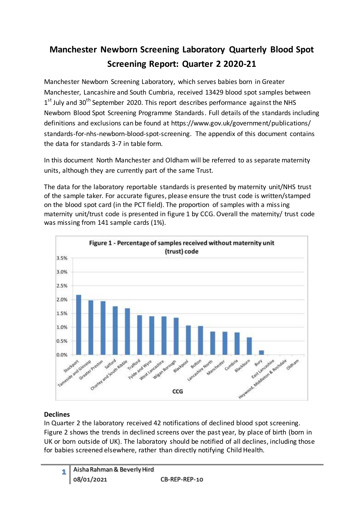# **Manchester Newborn Screening Laboratory Quarterly Blood Spot Screening Report: Quarter 2 2020-21**

Manchester Newborn Screening Laboratory, which serves babies born in Greater Manchester, Lancashire and South Cumbria, received 13429 blood spot samples between 1<sup>st</sup> July and 30<sup>th</sup> September 2020. This report describes performance against the NHS Newborn Blood Spot Screening Programme Standards. Full details of the standards including definitions and exclusions can be found at https://www.gov.uk/government/publications/ standards-for-nhs-newborn-blood-spot-screening. The appendix of this document contains the data for standards 3-7 in table form.

In this document North Manchester and Oldham will be referred to as separate maternity units, although they are currently part of the same Trust.

The data for the laboratory reportable standards is presented by maternity unit/NHS trust of the sample taker. For accurate figures, please ensure the trust code is written/stamped on the blood spot card (in the PCT field). The proportion of samples with a missing maternity unit/trust code is presented in figure 1 by CCG. Overall the maternity/ trust code was missing from 141 sample cards (1%).



# **Declines**

In Quarter 2 the laboratory received 42 notifications of declined blood spot screening. Figure 2 shows the trends in declined screens over the past year, by place of birth (born in UK or born outside of UK). The laboratory should be notified of all declines, including those for babies screened elsewhere, rather than directly notifying Child Health.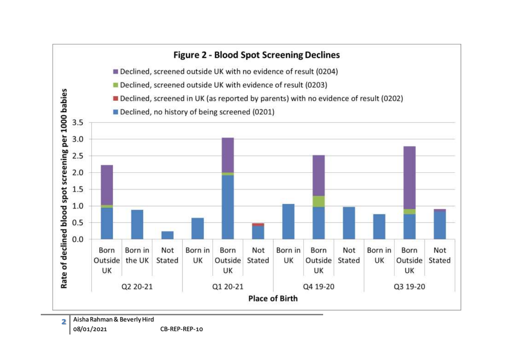

08/01/2021 CB-REP-REP-10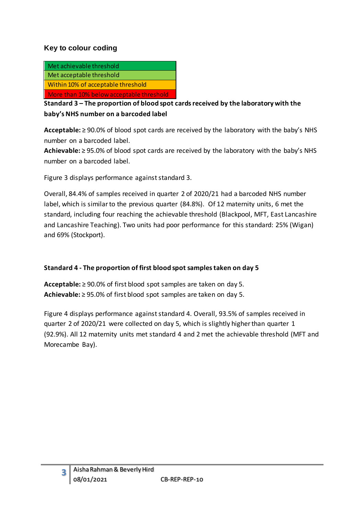### **Key to colour coding**

| Met achievable threshold                 |
|------------------------------------------|
| Met acceptable threshold                 |
| Within 10% of acceptable threshold       |
| More than 10% below acceptable threshold |

**Standard 3 – The proportion of blood spot cards received by the laboratory with the baby's NHS number on a barcoded label**

**Acceptable:** ≥ 90.0% of blood spot cards are received by the laboratory with the baby's NHS number on a barcoded label.

**Achievable:** ≥ 95.0% of blood spot cards are received by the laboratory with the baby's NHS number on a barcoded label.

Figure 3 displays performance against standard 3.

Overall, 84.4% of samples received in quarter 2 of 2020/21 had a barcoded NHS number label, which is similar to the previous quarter (84.8%). Of 12 maternity units, 6 met the standard, including four reaching the achievable threshold (Blackpool, MFT, East Lancashire and Lancashire Teaching). Two units had poor performance for this standard: 25% (Wigan) and 69% (Stockport).

#### **Standard 4 - The proportion of first blood spot samples taken on day 5**

**Acceptable:** ≥ 90.0% of first blood spot samples are taken on day 5. **Achievable:** ≥ 95.0% of first blood spot samples are taken on day 5.

Figure 4 displays performance against standard 4. Overall, 93.5% of samples received in quarter 2 of 2020/21 were collected on day 5, which is slightly higher than quarter 1 (92.9%). All 12 maternity units met standard 4 and 2 met the achievable threshold (MFT and Morecambe Bay).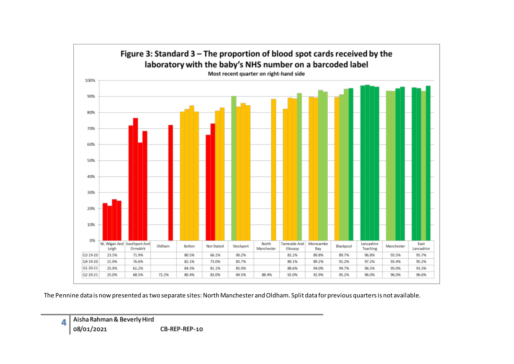

The Pennine data is now presented as two separate sites: North Manchester and Oldham. Split data for previous quarters is not available.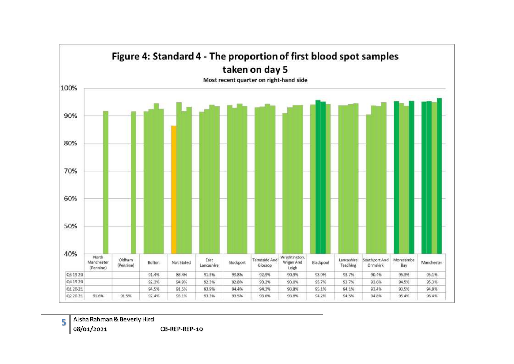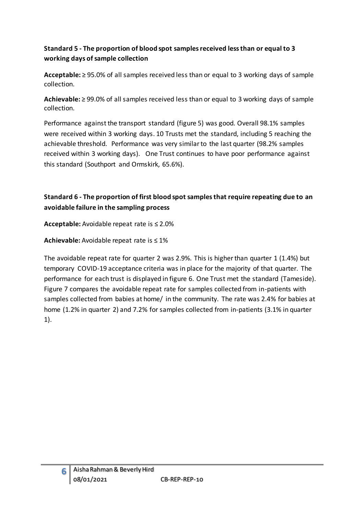# **Standard 5 - The proportion of blood spot samples received less than or equal to 3 working days of sample collection**

**Acceptable:** ≥ 95.0% of all samples received less than or equal to 3 working days of sample collection.

**Achievable:** ≥ 99.0% of all samples received less than or equal to 3 working days of sample collection.

Performance against the transport standard (figure 5) was good. Overall 98.1% samples were received within 3 working days. 10 Trusts met the standard, including 5 reaching the achievable threshold. Performance was very similar to the last quarter (98.2% samples received within 3 working days). One Trust continues to have poor performance against this standard (Southport and Ormskirk, 65.6%).

# **Standard 6 - The proportion of first blood spot samples that require repeating due to an avoidable failure in the sampling process**

**Acceptable:** Avoidable repeat rate is ≤ 2.0%

**Achievable:** Avoidable repeat rate is ≤ 1%

The avoidable repeat rate for quarter 2 was 2.9%. This is higher than quarter 1 (1.4%) but temporary COVID-19 acceptance criteria was in place for the majority of that quarter. The performance for each trust is displayed in figure 6. One Trust met the standard (Tameside). Figure 7 compares the avoidable repeat rate for samples collected from in-patients with samples collected from babies at home/ in the community. The rate was 2.4% for babies at home (1.2% in quarter 2) and 7.2% for samples collected from in-patients (3.1% in quarter 1).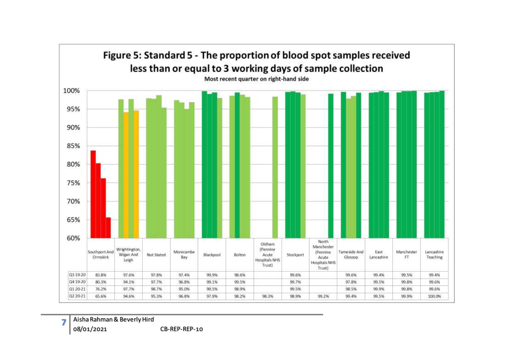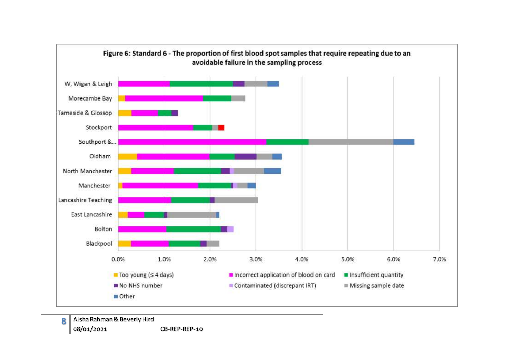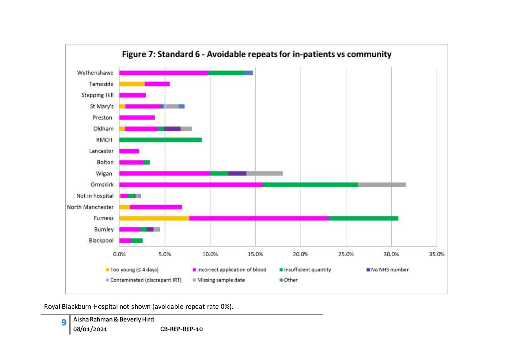

Royal Blackburn Hospital not shown (avoidable repeat rate 0%).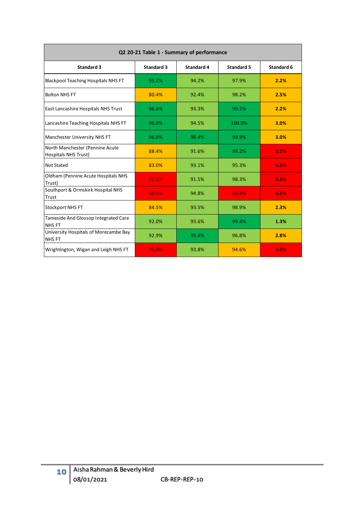| Q2 20-21 Table 1 - Summary of performance                      |                   |                   |                   |            |  |  |  |  |  |  |  |  |  |
|----------------------------------------------------------------|-------------------|-------------------|-------------------|------------|--|--|--|--|--|--|--|--|--|
| <b>Standard 3</b>                                              | <b>Standard 3</b> | <b>Standard 4</b> | <b>Standard 5</b> | Standard 6 |  |  |  |  |  |  |  |  |  |
| <b>Blackpool Teaching Hospitals NHS FT</b>                     | 95.2%             | 94.2%             | 97.9%             | 2.2%       |  |  |  |  |  |  |  |  |  |
| <b>Bolton NHS FT</b>                                           | 80.4%             | 92.4%             | 98.2%             | 2.5%       |  |  |  |  |  |  |  |  |  |
| <b>East Lancashire Hospitals NHS Trust</b>                     | 96.6%             | 93.3%             | 99.5%             | 2.2%       |  |  |  |  |  |  |  |  |  |
| Lancashire Teaching Hospitals NHS FT                           | 96.0%             | 94.5%             | 100.0%            | 3.0%       |  |  |  |  |  |  |  |  |  |
| Manchester University NHS FT                                   | 96.0%             | 96.4%             | 99.9%             | 3.0%       |  |  |  |  |  |  |  |  |  |
| North Manchester (Pennine Acute<br><b>Hospitals NHS Trust)</b> | 88.4%             | 91.6%             | 99.2%             | 3.5%       |  |  |  |  |  |  |  |  |  |
| <b>Not Stated</b>                                              | 83.0%             | 93.1%             | 95.3%             | 3.6%       |  |  |  |  |  |  |  |  |  |
| Oldham (Pennine Acute Hospitals NHS<br>Trust)                  | 72.2%             | 91.5%             | 98.3%             | 3.6%       |  |  |  |  |  |  |  |  |  |
| Southport & Ormskirk Hospital NHS<br>Trust                     | 68.5%             | 94.8%             | 65.6%             | 6.5%       |  |  |  |  |  |  |  |  |  |
| <b>Stockport NHS FT</b>                                        | 84.5%             | 93.5%             | 98.9%             | 2.3%       |  |  |  |  |  |  |  |  |  |
| Tameside And Glossop Integrated Care<br><b>NHSFT</b>           | 92.0%             | 93.6%             | 99.4%             | 1.3%       |  |  |  |  |  |  |  |  |  |
| University Hospitals of Morecambe Bay<br><b>NHSFT</b>          | 92.9%             | 95.4%             | 96.8%             | 2.8%       |  |  |  |  |  |  |  |  |  |
| Wrightington, Wigan and Leigh NHS FT                           | 25.0%             | 93.8%             | 94.6%             | 3.5%       |  |  |  |  |  |  |  |  |  |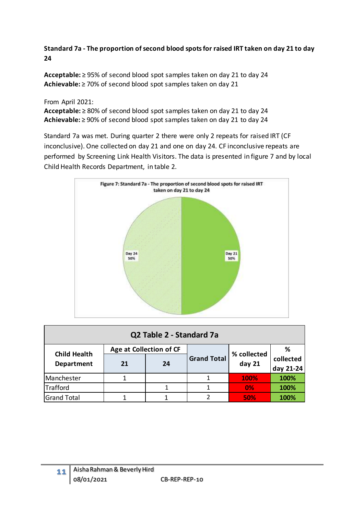### **Standard 7a - The proportion of second blood spots for raised IRT taken on day 21 to day 24**

**Acceptable:** ≥ 95% of second blood spot samples taken on day 21 to day 24 **Achievable:** ≥ 70% of second blood spot samples taken on day 21

#### From April 2021:

**Acceptable:** ≥ 80% of second blood spot samples taken on day 21 to day 24 **Achievable:** ≥ 90% of second blood spot samples taken on day 21 to day 24

Standard 7a was met. During quarter 2 there were only 2 repeats for raised IRT (CF inconclusive). One collected on day 21 and one on day 24. CF inconclusive repeats are performed by Screening Link Health Visitors. The data is presented in figure 7 and by local Child Health Records Department, in table 2.



| Q2 Table 2 - Standard 7a |                         |  |                    |             |           |  |  |  |  |  |  |
|--------------------------|-------------------------|--|--------------------|-------------|-----------|--|--|--|--|--|--|
| <b>Child Health</b>      | Age at Collection of CF |  |                    | % collected | ℅         |  |  |  |  |  |  |
| <b>Department</b>        | 21<br>24                |  | <b>Grand Total</b> | day 21      | collected |  |  |  |  |  |  |
|                          |                         |  |                    |             | day 21-24 |  |  |  |  |  |  |
| Manchester               | 1                       |  |                    | 100%        | 100%      |  |  |  |  |  |  |
| Trafford                 |                         |  |                    | 0%          | 100%      |  |  |  |  |  |  |
| <b>Grand Total</b>       |                         |  |                    | 50%         | 100%      |  |  |  |  |  |  |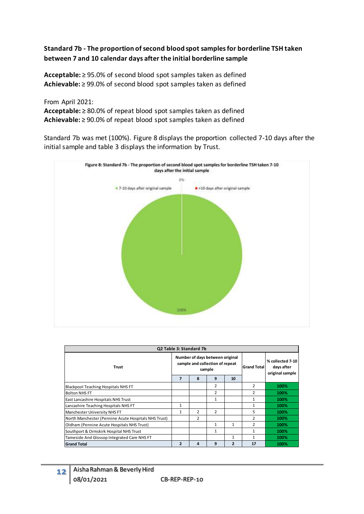#### **Standard 7b - The proportion of second blood spot samples for borderline TSH taken between 7 and 10 calendar days after the initial borderline sample**

**Acceptable:** ≥ 95.0% of second blood spot samples taken as defined **Achievable:** ≥ 99.0% of second blood spot samples taken as defined

From April 2021:

**Acceptable:** ≥ 80.0% of repeat blood spot samples taken as defined **Achievable:** ≥ 90.0% of repeat blood spot samples taken as defined

Standard 7b was met (100%). Figure 8 displays the proportion collected 7-10 days after the initial sample and table 3 displays the information by Trust.



| Q2 Table 3: Standard 7b                              |                |                                                                    |               |                         |                                                   |      |  |  |  |  |  |
|------------------------------------------------------|----------------|--------------------------------------------------------------------|---------------|-------------------------|---------------------------------------------------|------|--|--|--|--|--|
| <b>Trust</b>                                         |                | Number of days between original<br>sample and collection of repeat | sample        | <b>Grand Total</b>      | % collected 7-10<br>days after<br>original sample |      |  |  |  |  |  |
|                                                      |                | 8                                                                  | 9             | 10                      |                                                   |      |  |  |  |  |  |
| Blackpool Teaching Hospitals NHS FT                  |                |                                                                    | 2             |                         | $\overline{2}$                                    | 100% |  |  |  |  |  |
| <b>Bolton NHS FT</b>                                 |                |                                                                    | 2             |                         | 2                                                 | 100% |  |  |  |  |  |
| East Lancashire Hospitals NHS Trust                  |                |                                                                    | $\mathbf{1}$  |                         | 1                                                 | 100% |  |  |  |  |  |
| Lancashire Teaching Hospitals NHS FT                 |                |                                                                    |               |                         | 1                                                 | 100% |  |  |  |  |  |
| Manchester University NHS FT                         | 1              | $\mathcal{P}$                                                      | $\mathcal{P}$ |                         | $\overline{5}$                                    | 100% |  |  |  |  |  |
| North Manchester (Pennine Acute Hospitals NHS Trust) |                | 2                                                                  |               |                         | 2                                                 | 100% |  |  |  |  |  |
| Oldham (Pennine Acute Hospitals NHS Trust)           |                |                                                                    | $\mathbf{1}$  | 1                       | $\mathcal{P}$                                     | 100% |  |  |  |  |  |
| Southport & Ormskirk Hospital NHS Trust              |                |                                                                    | 1             |                         | 1                                                 | 100% |  |  |  |  |  |
| Tameside And Glossop Integrated Care NHS FT          |                |                                                                    |               | $\mathbf{1}$            | 1                                                 | 100% |  |  |  |  |  |
| <b>Grand Total</b>                                   | $\overline{2}$ | 4                                                                  | 9             | $\overline{\mathbf{z}}$ | 17                                                | 100% |  |  |  |  |  |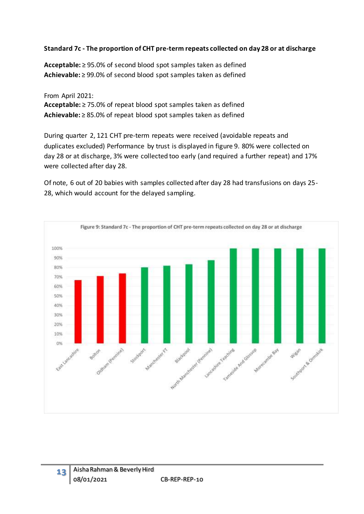#### **Standard 7c - The proportion of CHT pre-term repeats collected on day 28 or at discharge**

**Acceptable:** ≥ 95.0% of second blood spot samples taken as defined **Achievable:** ≥ 99.0% of second blood spot samples taken as defined

From April 2021: **Acceptable:** ≥ 75.0% of repeat blood spot samples taken as defined **Achievable:** ≥ 85.0% of repeat blood spot samples taken as defined

During quarter 2, 121 CHT pre-term repeats were received (avoidable repeats and duplicates excluded) Performance by trust is displayed in figure 9. 80% were collected on day 28 or at discharge, 3% were collected too early (and required a further repeat) and 17% were collected after day 28.

Of note, 6 out of 20 babies with samples collected after day 28 had transfusions on days 25- 28, which would account for the delayed sampling.

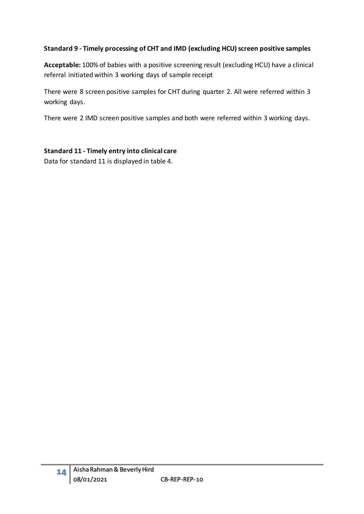# **Standard 9 - Timely processing of CHT and IMD (excluding HCU) screen positive samples**

**Acceptable:** 100% of babies with a positive screening result (excluding HCU) have a clinical referral initiated within 3 working days of sample receipt

There were 8 screen positive samples for CHT during quarter 2. All were referred within 3 working days.

There were 2 IMD screen positive samples and both were referred within 3 working days.

# **Standard 11 - Timely entry into clinical care**

Data for standard 11 is displayed in table 4.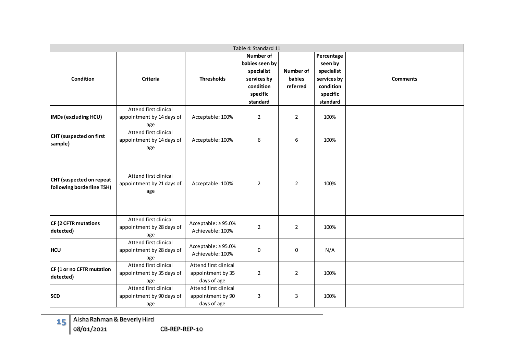|                                                       |                                                           |                                                           | Table 4: Standard 11                                                                          |                                        |                                                                                         |                 |
|-------------------------------------------------------|-----------------------------------------------------------|-----------------------------------------------------------|-----------------------------------------------------------------------------------------------|----------------------------------------|-----------------------------------------------------------------------------------------|-----------------|
| Condition                                             | Criteria                                                  | <b>Thresholds</b>                                         | Number of<br>babies seen by<br>specialist<br>services by<br>condition<br>specific<br>standard | <b>Number of</b><br>babies<br>referred | Percentage<br>seen by<br>specialist<br>services by<br>condition<br>specific<br>standard | <b>Comments</b> |
| <b>IMDs (excluding HCU)</b>                           | Attend first clinical<br>appointment by 14 days of<br>age | Acceptable: 100%                                          | $\overline{2}$                                                                                | $\overline{2}$                         | 100%                                                                                    |                 |
| CHT (suspected on first<br>sample)                    | Attend first clinical<br>appointment by 14 days of<br>age | Acceptable: 100%                                          | 6                                                                                             | 6                                      | 100%                                                                                    |                 |
| CHT (suspected on repeat<br>following borderline TSH) | Attend first clinical<br>appointment by 21 days of<br>age | Acceptable: 100%                                          | $\overline{2}$                                                                                | $\overline{2}$                         | 100%                                                                                    |                 |
| CF (2 CFTR mutations<br>detected)                     | Attend first clinical<br>appointment by 28 days of<br>age | Acceptable: ≥95.0%<br>Achievable: 100%                    | $\overline{2}$                                                                                | $\overline{2}$                         | 100%                                                                                    |                 |
| <b>HCU</b>                                            | Attend first clinical<br>appointment by 28 days of<br>age | Acceptable: ≥95.0%<br>Achievable: 100%                    | 0                                                                                             | $\mathbf 0$                            | N/A                                                                                     |                 |
| CF (1 or no CFTR mutation<br>detected)                | Attend first clinical<br>appointment by 35 days of<br>age | Attend first clinical<br>appointment by 35<br>days of age | $\overline{2}$                                                                                | $\overline{2}$                         | 100%                                                                                    |                 |
| <b>SCD</b>                                            | Attend first clinical<br>appointment by 90 days of<br>age | Attend first clinical<br>appointment by 90<br>days of age | 3                                                                                             | 3                                      | 100%                                                                                    |                 |

**15** Aisha Rahman & Beverly Hird 08/01/2021 CB-REP-REP-10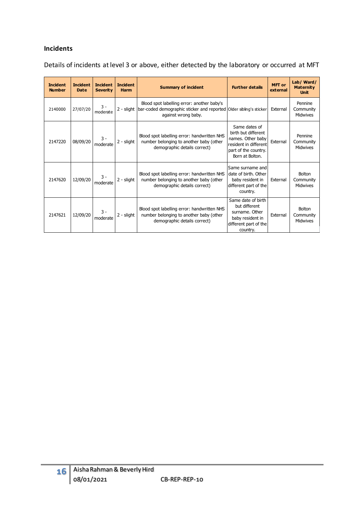#### **Incidents**

Details of incidents at level 3 or above, either detected by the laboratory or occurred at MFT

| <b>Incident</b><br><b>Number</b> | <b>Incident</b><br><b>Date</b> | <b>Incident</b><br><b>Severity</b> | <b>Incident</b><br><b>Summary of incident</b><br><b>Harm</b> |                                                                                                                                         | <b>Further details</b>                                                                                                        | <b>MFT</b> or<br>external | Lab/ Ward/<br><b>Maternity</b><br><b>Unit</b> |
|----------------------------------|--------------------------------|------------------------------------|--------------------------------------------------------------|-----------------------------------------------------------------------------------------------------------------------------------------|-------------------------------------------------------------------------------------------------------------------------------|---------------------------|-----------------------------------------------|
| 2140000                          | 27/07/20                       | $3 -$<br>moderate                  | 2 - slight                                                   | Blood spot labelling error: another baby's<br>bar-coded demographic sticker and reported Older sibling's sticker<br>against wrong baby. |                                                                                                                               | External                  | Pennine<br>Community<br>Midwives              |
| 2147220                          | 08/09/20                       | 3 -<br>moderate                    | 2 - slight                                                   | Blood spot labelling error: handwritten NHS<br>number belonging to another baby (other<br>demographic details correct)                  | Same dates of<br>birth but different<br>names. Other baby<br>resident in different<br>part of the country.<br>Born at Bolton. | External                  | Pennine<br>Community<br>Midwives              |
| 2147620                          | 12/09/20                       | 3 -<br>moderate                    | 2 - slight                                                   | Blood spot labelling error: handwritten NHS<br>number belonging to another baby (other<br>demographic details correct)                  | Same surname and<br>date of birth. Other<br>baby resident in<br>different part of the<br>country.                             | External                  | Bolton<br>Community<br>Midwives               |
| 2147621                          | 12/09/20                       | $3 -$<br>moderate                  | 2 - slight                                                   | Blood spot labelling error: handwritten NHS<br>number belonging to another baby (other<br>demographic details correct)                  | Same date of birth<br>but different<br>surname. Other<br>baby resident in<br>different part of the<br>country.                | External                  | <b>Bolton</b><br>Community<br>Midwives        |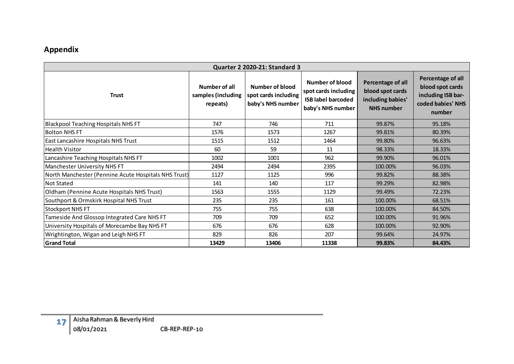# **Appendix**

| Quarter 2 2020-21: Standard 3                        |                                                 |                                                                     |                                                                                           |                                                                                 |                                                                                            |  |  |  |  |  |  |  |  |
|------------------------------------------------------|-------------------------------------------------|---------------------------------------------------------------------|-------------------------------------------------------------------------------------------|---------------------------------------------------------------------------------|--------------------------------------------------------------------------------------------|--|--|--|--|--|--|--|--|
| <b>Trust</b>                                         | Number of all<br>samples (including<br>repeats) | <b>Number of blood</b><br>spot cards including<br>baby's NHS number | Number of blood<br>spot cards including<br><b>ISB label barcoded</b><br>baby's NHS number | Percentage of all<br>blood spot cards<br>including babies'<br><b>NHS number</b> | Percentage of all<br>blood spot cards<br>including ISB bar-<br>coded babies' NHS<br>number |  |  |  |  |  |  |  |  |
| <b>Blackpool Teaching Hospitals NHS FT</b>           | 747                                             | 746                                                                 | 711                                                                                       | 99.87%                                                                          | 95.18%                                                                                     |  |  |  |  |  |  |  |  |
| <b>Bolton NHS FT</b>                                 | 1576                                            | 1573                                                                | 1267                                                                                      | 99.81%                                                                          | 80.39%                                                                                     |  |  |  |  |  |  |  |  |
| East Lancashire Hospitals NHS Trust                  | 1515                                            | 1512                                                                | 1464                                                                                      | 99.80%                                                                          | 96.63%                                                                                     |  |  |  |  |  |  |  |  |
| <b>Health Visitor</b>                                | 60                                              | 59                                                                  | 11                                                                                        | 98.33%                                                                          | 18.33%                                                                                     |  |  |  |  |  |  |  |  |
| Lancashire Teaching Hospitals NHS FT                 | 1002                                            | 1001                                                                | 962                                                                                       | 99.90%                                                                          | 96.01%                                                                                     |  |  |  |  |  |  |  |  |
| Manchester University NHS FT                         | 2494                                            | 2494                                                                | 2395                                                                                      | 100.00%                                                                         | 96.03%                                                                                     |  |  |  |  |  |  |  |  |
| North Manchester (Pennine Acute Hospitals NHS Trust) | 1127                                            | 1125                                                                | 996                                                                                       | 99.82%                                                                          | 88.38%                                                                                     |  |  |  |  |  |  |  |  |
| Not Stated                                           | 141                                             | 140                                                                 | 117                                                                                       | 99.29%                                                                          | 82.98%                                                                                     |  |  |  |  |  |  |  |  |
| Oldham (Pennine Acute Hospitals NHS Trust)           | 1563                                            | 1555                                                                | 1129                                                                                      | 99.49%                                                                          | 72.23%                                                                                     |  |  |  |  |  |  |  |  |
| Southport & Ormskirk Hospital NHS Trust              | 235                                             | 235                                                                 | 161                                                                                       | 100.00%                                                                         | 68.51%                                                                                     |  |  |  |  |  |  |  |  |
| <b>Stockport NHS FT</b>                              | 755                                             | 755                                                                 | 638                                                                                       | 100.00%                                                                         | 84.50%                                                                                     |  |  |  |  |  |  |  |  |
| Tameside And Glossop Integrated Care NHS FT          | 709                                             | 709                                                                 | 652                                                                                       | 100.00%                                                                         | 91.96%                                                                                     |  |  |  |  |  |  |  |  |
| University Hospitals of Morecambe Bay NHS FT         | 676                                             | 676                                                                 | 628                                                                                       | 100.00%                                                                         | 92.90%                                                                                     |  |  |  |  |  |  |  |  |
| Wrightington, Wigan and Leigh NHS FT                 | 829                                             | 826                                                                 | 207                                                                                       | 99.64%                                                                          | 24.97%                                                                                     |  |  |  |  |  |  |  |  |
| <b>Grand Total</b>                                   | 13429                                           | 13406                                                               | 11338                                                                                     | 99.83%                                                                          | 84.43%                                                                                     |  |  |  |  |  |  |  |  |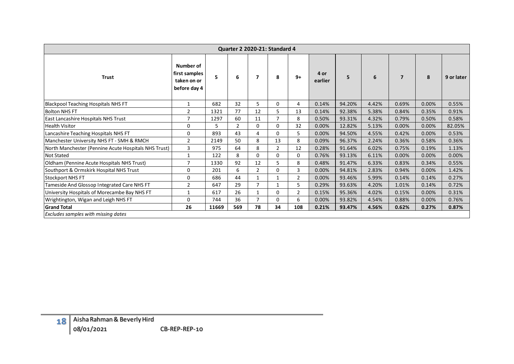|                         | Quarter 2 2020-21: Standard 4                        |                                                           |       |                |                |                |                |                 |        |       |                |       |            |
|-------------------------|------------------------------------------------------|-----------------------------------------------------------|-------|----------------|----------------|----------------|----------------|-----------------|--------|-------|----------------|-------|------------|
|                         | <b>Trust</b>                                         | Number of<br>first samples<br>taken on or<br>before day 4 | 5     | 6              | $\overline{7}$ | 8              | $9+$           | 4 or<br>earlier | 5      | 6     | $\overline{7}$ | 8     | 9 or later |
|                         | <b>Blackpool Teaching Hospitals NHS FT</b>           | $\mathbf{1}$                                              | 682   | 32             | 5              | 0              | 4              | 0.14%           | 94.20% | 4.42% | 0.69%          | 0.00% | 0.55%      |
| <b>Bolton NHS FT</b>    |                                                      | $\overline{2}$                                            | 1321  | 77             | 12             | 5              | 13             | 0.14%           | 92.38% | 5.38% | 0.84%          | 0.35% | 0.91%      |
|                         | East Lancashire Hospitals NHS Trust                  | $\overline{7}$                                            | 1297  | 60             | 11             | $\overline{7}$ | 8              | 0.50%           | 93.31% | 4.32% | 0.79%          | 0.50% | 0.58%      |
| <b>Health Visitor</b>   |                                                      | $\mathbf{0}$                                              | 5     | $\overline{2}$ | $\mathbf 0$    | $\mathbf 0$    | 32             | 0.00%           | 12.82% | 5.13% | 0.00%          | 0.00% | 82.05%     |
|                         | Lancashire Teaching Hospitals NHS FT                 | $\pmb{0}$                                                 | 893   | 43             | 4              | $\mathbf 0$    | 5              | 0.00%           | 94.50% | 4.55% | 0.42%          | 0.00% | 0.53%      |
|                         | Manchester University NHS FT - SMH & RMCH            | $\overline{2}$                                            | 2149  | 50             | 8              | 13             | 8              | 0.09%           | 96.37% | 2.24% | 0.36%          | 0.58% | 0.36%      |
|                         | North Manchester (Pennine Acute Hospitals NHS Trust) | 3                                                         | 975   | 64             | 8              | $\overline{2}$ | 12             | 0.28%           | 91.64% | 6.02% | 0.75%          | 0.19% | 1.13%      |
| <b>Not Stated</b>       |                                                      | $\mathbf 1$                                               | 122   | 8              | $\mathbf 0$    | $\mathbf 0$    | $\mathbf 0$    | 0.76%           | 93.13% | 6.11% | 0.00%          | 0.00% | 0.00%      |
|                         | Oldham (Pennine Acute Hospitals NHS Trust)           | $\overline{7}$                                            | 1330  | 92             | 12             | 5              | $\,8\,$        | 0.48%           | 91.47% | 6.33% | 0.83%          | 0.34% | 0.55%      |
|                         | Southport & Ormskirk Hospital NHS Trust              | $\mathbf{0}$                                              | 201   | 6              | $\overline{2}$ | 0              | $\overline{3}$ | 0.00%           | 94.81% | 2.83% | 0.94%          | 0.00% | 1.42%      |
| <b>Stockport NHS FT</b> |                                                      | 0                                                         | 686   | 44             | $\mathbf{1}$   | $\mathbf{1}$   | $\overline{2}$ | 0.00%           | 93.46% | 5.99% | 0.14%          | 0.14% | 0.27%      |
|                         | Tameside And Glossop Integrated Care NHS FT          | $\overline{2}$                                            | 647   | 29             | $\overline{7}$ | $\mathbf{1}$   | 5              | 0.29%           | 93.63% | 4.20% | 1.01%          | 0.14% | 0.72%      |
|                         | University Hospitals of Morecambe Bay NHS FT         | $\mathbf 1$                                               | 617   | 26             | $\mathbf 1$    | 0              | $\overline{2}$ | 0.15%           | 95.36% | 4.02% | 0.15%          | 0.00% | 0.31%      |
|                         | Wrightington, Wigan and Leigh NHS FT                 | $\pmb{0}$                                                 | 744   | 36             | $\overline{7}$ | $\mathbf 0$    | 6              | 0.00%           | 93.82% | 4.54% | 0.88%          | 0.00% | 0.76%      |
| <b>Grand Total</b>      |                                                      | 26                                                        | 11669 | 569            | 78             | 34             | 108            | 0.21%           | 93.47% | 4.56% | 0.62%          | 0.27% | 0.87%      |
|                         | Excludes samples with missing dates                  |                                                           |       |                |                |                |                |                 |        |       |                |       |            |
|                         |                                                      |                                                           |       |                |                |                |                |                 |        |       |                |       |            |
| 18                      | Aisha Rahman & Beverly Hird<br>08/01/2021            | CB-REP-REP-10                                             |       |                |                |                |                |                 |        |       |                |       |            |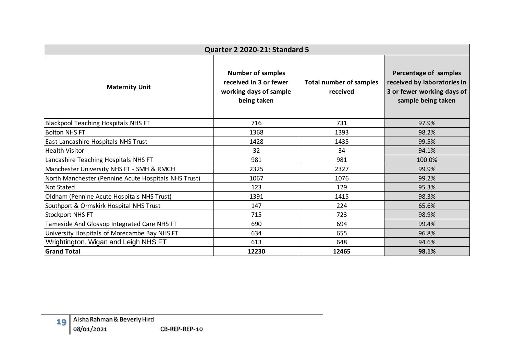|                                                      | <b>Quarter 2 2020-21: Standard 5</b>                                                        |                                            |                                                                                                          |
|------------------------------------------------------|---------------------------------------------------------------------------------------------|--------------------------------------------|----------------------------------------------------------------------------------------------------------|
| <b>Maternity Unit</b>                                | <b>Number of samples</b><br>received in 3 or fewer<br>working days of sample<br>being taken | <b>Total number of samples</b><br>received | Percentage of samples<br>received by laboratories in<br>3 or fewer working days of<br>sample being taken |
| <b>Blackpool Teaching Hospitals NHS FT</b>           | 716                                                                                         | 731                                        | 97.9%                                                                                                    |
| <b>Bolton NHS FT</b>                                 | 1368                                                                                        | 1393                                       | 98.2%                                                                                                    |
| East Lancashire Hospitals NHS Trust                  | 1428                                                                                        | 1435                                       | 99.5%                                                                                                    |
| <b>Health Visitor</b>                                | 32                                                                                          | 34                                         | 94.1%                                                                                                    |
| Lancashire Teaching Hospitals NHS FT                 | 981                                                                                         | 981                                        | 100.0%                                                                                                   |
| Manchester University NHS FT - SMH & RMCH            | 2325                                                                                        | 2327                                       | 99.9%                                                                                                    |
| North Manchester (Pennine Acute Hospitals NHS Trust) | 1067                                                                                        | 1076                                       | 99.2%                                                                                                    |
| <b>Not Stated</b>                                    | 123                                                                                         | 129                                        | 95.3%                                                                                                    |
| Oldham (Pennine Acute Hospitals NHS Trust)           | 1391                                                                                        | 1415                                       | 98.3%                                                                                                    |
| Southport & Ormskirk Hospital NHS Trust              | 147                                                                                         | 224                                        | 65.6%                                                                                                    |
| <b>Stockport NHS FT</b>                              | 715                                                                                         | 723                                        | 98.9%                                                                                                    |
| Tameside And Glossop Integrated Care NHS FT          | 690                                                                                         | 694                                        | 99.4%                                                                                                    |
| University Hospitals of Morecambe Bay NHS FT         | 634                                                                                         | 655                                        | 96.8%                                                                                                    |
| Wrightington, Wigan and Leigh NHS FT                 | 613                                                                                         | 648                                        | 94.6%                                                                                                    |
| <b>Grand Total</b>                                   | 12230                                                                                       | 12465                                      | 98.1%                                                                                                    |
| Aisha Rahman & Beverly Hird                          |                                                                                             |                                            |                                                                                                          |
| 19<br>08/01/2021<br>CB-REP-REP-10                    |                                                                                             |                                            |                                                                                                          |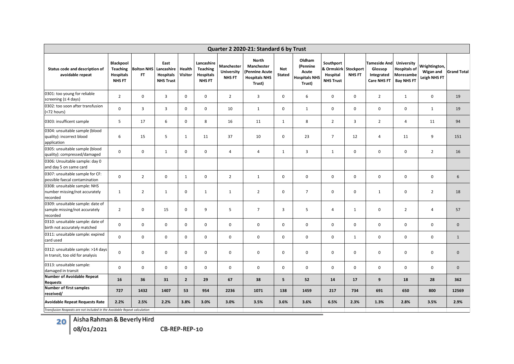| Quarter 2 2020-21: Standard 6 by Trust                                        |                                                           |                                |                                                            |                   |                                                             |                                    |                                                                                |                             |                                                               |                                                                   |               |                                                             |                                                                            |                                            |                    |
|-------------------------------------------------------------------------------|-----------------------------------------------------------|--------------------------------|------------------------------------------------------------|-------------------|-------------------------------------------------------------|------------------------------------|--------------------------------------------------------------------------------|-----------------------------|---------------------------------------------------------------|-------------------------------------------------------------------|---------------|-------------------------------------------------------------|----------------------------------------------------------------------------|--------------------------------------------|--------------------|
| Status code and description of<br>avoidable repeat                            | Blackpool<br>Teaching<br><b>Hospitals</b><br><b>NHSFT</b> | <b>Bolton NHS</b><br><b>FT</b> | East<br>Lancashire<br><b>Hospitals</b><br><b>NHS Trust</b> | Health<br>Visitor | Lancashire<br><b>Teaching</b><br>Hospitals<br><b>NHS FT</b> | Manchester<br>University<br>NHS FT | <b>North</b><br>Manchester<br>(Pennine Acute<br><b>Hospitals NHS</b><br>Trust) | <b>Not</b><br><b>Stated</b> | Oldham<br>(Pennine<br>Acute<br><b>Hospitals NHS</b><br>Trust) | Southport<br>& Ormskirk Stockport<br>Hospital<br><b>NHS Trust</b> | <b>NHS FT</b> | Tameside And<br>Glossop<br>Integrated<br><b>Care NHS FT</b> | <b>University</b><br><b>Hospitals of</b><br>Morecambe<br><b>Bay NHS FT</b> | Wrightington,<br>Wigan and<br>Leigh NHS FT | <b>Grand Total</b> |
| 0301: too young for reliable<br>screening $(≤ 4 days)$                        | $\overline{2}$                                            | $\mathbf 0$                    | $\overline{3}$                                             | 0                 | $\mathbf 0$                                                 | $\overline{2}$                     | $\overline{3}$                                                                 | 0                           | 6                                                             | $\mathbf 0$                                                       | $\mathbf 0$   | $\overline{2}$                                              | $\mathbf{1}$                                                               | $\mathbf 0$                                | 19                 |
| 0302: too soon after transfusion<br>(<72 hours)                               | $\pmb{0}$                                                 | $\overline{3}$                 | 3                                                          | 0                 | $\mathbf 0$                                                 | 10                                 | $\mathbf{1}$                                                                   | 0                           | $\mathbf{1}$                                                  | $\mathsf 0$                                                       | $\mathbf 0$   | $\mathbf 0$                                                 | $\mathbf 0$                                                                | $\mathbf{1}$                               | 19                 |
| 0303: insufficent sample                                                      | 5                                                         | 17                             | 6                                                          | 0                 | 8                                                           | 16                                 | 11                                                                             | $\mathbf{1}$                | 8                                                             | $\overline{2}$                                                    | 3             | $\overline{2}$                                              | $\overline{4}$                                                             | 11                                         | 94                 |
| 0304: unsuitable sample (blood<br>quality): incorrect blood<br>application    | 6                                                         | 15                             | 5                                                          | $\mathbf{1}$      | 11                                                          | 37                                 | 10                                                                             | 0                           | 23                                                            | $\overline{7}$                                                    | 12            | $\overline{4}$                                              | 11                                                                         | 9                                          | 151                |
| 0305: unsuitable sample (blood<br>quality): compressed/damaged                | $\mathbf 0$                                               | $\mathbf 0$                    | 1                                                          | $\mathbf 0$       | $\mathbf 0$                                                 | $\overline{4}$                     | $\overline{4}$                                                                 | $\mathbf{1}$                | $\overline{3}$                                                | $\mathbf{1}$                                                      | $\mathbf 0$   | $\mathbf 0$                                                 | $\mathbf 0$                                                                | $\overline{2}$                             | 16                 |
| 0306: Unsuitable sample: day 0<br>and day 5 on same card                      |                                                           |                                |                                                            |                   |                                                             |                                    |                                                                                |                             |                                                               |                                                                   |               |                                                             |                                                                            |                                            |                    |
| 0307: unsuitable sample for CF:<br>possible faecal contamination              | $\mathbf 0$                                               | $\overline{2}$                 | $\mathbf 0$                                                | 1                 | $\mathbf 0$                                                 | $\overline{2}$                     | $\mathbf{1}$                                                                   | 0                           | $\mathbf 0$                                                   | $\mathbf 0$                                                       | $\mathbf 0$   | $\mathbf 0$                                                 | $\mathbf 0$                                                                | $\mathbf 0$                                | 6                  |
| 0308: unsuitable sample: NHS<br>number missing/not accurately<br>recorded     | $\mathbf{1}$                                              | $\overline{2}$                 | 1                                                          | $\mathbf 0$       | $\mathbf{1}$                                                | $\mathbf{1}$                       | $\overline{2}$                                                                 | $\mathbf 0$                 | $\overline{7}$                                                | $\mathbf 0$                                                       | $\mathbf 0$   | $\mathbf{1}$                                                | 0                                                                          | $\overline{2}$                             | 18                 |
| 0309: unsuitable sample: date of<br>sample missing/not accurately<br>recorded | $\overline{2}$                                            | $\mathbf 0$                    | 15                                                         | $\mathbf 0$       | 9                                                           | 5                                  | $\overline{7}$                                                                 | 3                           | 5                                                             | $\overline{4}$                                                    | $\mathbf{1}$  | $\mathsf 0$                                                 | $\overline{2}$                                                             | $\overline{4}$                             | 57                 |
| 0310: unsuitable sample: date of<br>birth not accurately matched              | $\pmb{0}$                                                 | $\mathbf 0$                    | $\mathsf 0$                                                | $\mathbf 0$       | $\mathbf 0$                                                 | $\mathbf 0$                        | $\mathbf 0$                                                                    | 0                           | $\pmb{0}$                                                     | $\mathsf 0$                                                       | $\mathbf 0$   | $\mathbf 0$                                                 | $\mathsf 0$                                                                | $\pmb{0}$                                  | $\mathbf 0$        |
| 0311: unsuitable sample: expired<br>card used                                 | $\pmb{0}$                                                 | $\mathbf 0$                    | $\mathsf 0$                                                | $\mathbf 0$       | $\mathbf 0$                                                 | $\mathbf 0$                        | $\mathbf 0$                                                                    | 0                           | $\mathbf 0$                                                   | $\mathsf 0$                                                       | $\mathbf{1}$  | $\mathbf 0$                                                 | $\mathbf 0$                                                                | $\mathbf 0$                                | $\mathbf{1}$       |
| 0312: unsuitable sample: >14 days<br>in transit, too old for analysis         | $\mathbf 0$                                               | $\mathbf 0$                    | $\mathbf 0$                                                | $\mathbf 0$       | $\mathbf 0$                                                 | $\mathbf 0$                        | $\mathbf 0$                                                                    | 0                           | $\mathbf 0$                                                   | $\mathsf 0$                                                       | $\mathbf 0$   | $\mathbf 0$                                                 | $\mathbf 0$                                                                | $\mathbf 0$                                | $\mathbf{0}$       |
| 0313: unsuitable sample:<br>damaged in transit                                | $\mathbf 0$                                               | $\mathbf 0$                    | $\mathbf 0$                                                | $\mathbf 0$       | $\mathbf 0$                                                 | $\mathbf 0$                        | $\mathbf 0$                                                                    | $\mathbf 0$                 | $\mathbf 0$                                                   | $\mathbf 0$                                                       | $\mathbf 0$   | $\mathbf 0$                                                 | $\mathbf 0$                                                                | $\mathbf 0$                                | $\mathbf 0$        |
| <b>Number of Avoidable Repeat</b><br><b>Requests</b>                          | 16                                                        | 36                             | 31                                                         | $\overline{2}$    | 29                                                          | 67                                 | 38                                                                             | 5                           | 52                                                            | 14                                                                | 17            | $\overline{9}$                                              | 18                                                                         | 28                                         | 362                |
| Number of first samples<br>received/                                          | 727                                                       | 1432                           | 1407                                                       | 53                | 954                                                         | 2236                               | 1071                                                                           | 138                         | 1459                                                          | 217                                                               | 734           | 691                                                         | 650                                                                        | 800                                        | 12569              |
| <b>Avoidable Repeat Requests Rate</b>                                         | 2.2%                                                      | 2.5%                           | 2.2%                                                       | 3.8%              | 3.0%                                                        | 3.0%                               | 3.5%                                                                           | 3.6%                        | 3.6%                                                          | 6.5%                                                              | 2.3%          | 1.3%                                                        | 2.8%                                                                       | 3.5%                                       | 2.9%               |
| Transfusion Reapeats are not included in the Avoidable Repeat calculation     |                                                           |                                |                                                            |                   |                                                             |                                    |                                                                                |                             |                                                               |                                                                   |               |                                                             |                                                                            |                                            |                    |

**20** Aisha Rahman & Beverly Hird

08/01/2021 CB-REP-REP-10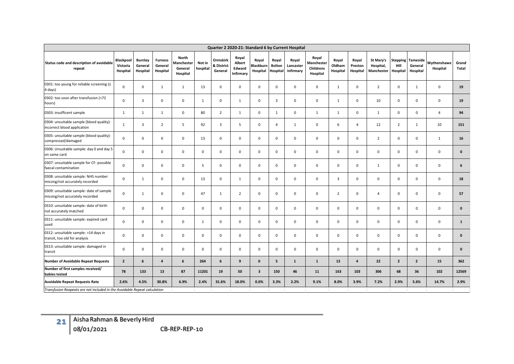|                                                                            | Quarter 2 2020-21: Standard 6 by Current Hospital |                                       |                                       |                                                   |                    |                                          |                                        |                                       |                                    |                                        |                                                     |                             |                              |                                      |                                     |                                 |                         |                       |
|----------------------------------------------------------------------------|---------------------------------------------------|---------------------------------------|---------------------------------------|---------------------------------------------------|--------------------|------------------------------------------|----------------------------------------|---------------------------------------|------------------------------------|----------------------------------------|-----------------------------------------------------|-----------------------------|------------------------------|--------------------------------------|-------------------------------------|---------------------------------|-------------------------|-----------------------|
| Status code and description of avoidable<br>repeat                         | <b>Blackpool</b><br>Victoria<br>Hospital          | <b>Burnley</b><br>General<br>Hospital | <b>Furness</b><br>General<br>Hospital | North<br><b>Manchester</b><br>General<br>Hospital | Not in<br>hospital | <b>Ormskirk</b><br>& District<br>General | Royal<br>Albert<br>Edward<br>Infirmary | Royal<br><b>Blackburn</b><br>Hospital | Royal<br><b>Bolton</b><br>Hospital | Royal<br>Lancaster<br><b>Infirmary</b> | Royal<br>Manchester<br><b>Childrens</b><br>Hospital | Royal<br>Oldham<br>Hospital | Royal<br>Preston<br>Hospital | St Mary's<br>Hospital,<br>Manchester | <b>Stepping</b><br>Hill<br>Hospital | Tameside<br>General<br>Hospital | Wythenshawe<br>Hospital | Grand<br><b>Total</b> |
| 0301: too young for reliable screening (<br>4 days)                        | 0                                                 | $\mathbf 0$                           | $\mathbf{1}$                          | $\mathbf{1}$                                      | 13                 | 0                                        | $\mathbf 0$                            | $\mathbf 0$                           | $\mathbf 0$                        | $\mathbf 0$                            | $\mathbf 0$                                         | 1                           | $\mathbf 0$                  | $\overline{2}$                       | $\mathbf 0$                         | 1                               | $\mathbf 0$             | 19                    |
| 0302: too soon after transfusion (<72<br>hours)                            | $\mathbf{0}$                                      | $\overline{3}$                        | $\mathbf 0$                           | $\mathbf 0$                                       | 1                  | 0                                        | $\mathbf{1}$                           | $\mathbf 0$                           | $\overline{\mathbf{3}}$            | $\mathbf 0$                            | $\mathbf 0$                                         | 1                           | $\mathbf 0$                  | 10                                   | $\mathbf 0$                         | $\mathbf 0$                     | $\mathbf 0$             | 19                    |
| 0303: insufficent sample                                                   | 1                                                 | $\mathbf{1}$                          | 1                                     | $\mathbf 0$                                       | 80                 | $\overline{2}$                           | $\mathbf{1}$                           | $\mathbf 0$                           | 1                                  | $\mathbf 0$                            | 1                                                   | 1                           | $\mathbf 0$                  | $\mathbf{1}$                         | $\mathbf{0}$                        | $\mathbf 0$                     | $\overline{4}$          | 94                    |
| 0304: unsuitable sample (blood quality):<br>incorrect blood application    | $\mathbf{1}$                                      | 3                                     | $\overline{2}$                        | 5                                                 | 92                 | 3                                        | 5                                      | $\mathbf 0$                           | $\overline{4}$                     | 1                                      | $\mathbf 0$                                         | 6                           | $\overline{4}$               | 12                                   | $\overline{2}$                      | 1                               | 10                      | 151                   |
| 0305: unsuitable sample (blood quality):<br>compressed/damaged             | $\mathbf 0$                                       | $\mathbf 0$                           | $\mathbf 0$                           | $\mathbf 0$                                       | 13                 | $\mathbf 0$                              | 0                                      | $\mathbf{0}$                          | $\mathbf{0}$                       | $\mathbf 0$                            | $\mathbf 0$                                         | $\mathbf 0$                 | 0                            | $\overline{2}$                       | $\mathbf{0}$                        | $\mathbf 0$                     | $\mathbf{1}$            | 16                    |
| 0306: Unsuitable sample: day 0 and day 5<br>on same card                   | $\mathbf 0$                                       | $\mathbf 0$                           | $\mathbf{0}$                          | $\mathbf{0}$                                      | $\Omega$           | $\mathbf 0$                              | $\mathbf 0$                            | $\mathbf{0}$                          | $\mathbf 0$                        | $\mathbf 0$                            | $\mathbf 0$                                         | $\mathbf 0$                 | $\mathbf 0$                  | $\mathbf{0}$                         | $\mathbf{0}$                        | $\mathbf 0$                     | $\mathbf 0$             | $\mathbf{0}$          |
| 0307: unsuitable sample for CF: possible<br>faecal contamination           | $\mathbf 0$                                       | $\mathbf 0$                           | $\mathsf 0$                           | $\mathbf 0$                                       | 5                  | $\mathbf 0$                              | $\mathbf 0$                            | $\mathbf{0}$                          | $\mathbf 0$                        | $\mathbf 0$                            | $\mathbf{0}$                                        | $\mathbf 0$                 | $\mathbf 0$                  | $\mathbf{1}$                         | $\mathbf{0}$                        | $\mathbf 0$                     | $\mathbf 0$             | 6                     |
| 0308: unsuitable sample: NHS number<br>missing/not accurately recorded     | 0                                                 | 1                                     | $\mathbf 0$                           | $\mathbf 0$                                       | 13                 | 0                                        | $\mathbf{1}$                           | $\mathbf 0$                           | $\mathbf 0$                        | 0                                      | $\mathbf 0$                                         | 3                           | $\mathbf 0$                  | $\mathsf 0$                          | $\mathbf 0$                         | 0                               | $\mathbf 0$             | 18                    |
| 0309: unsuitable sample: date of sample<br>missing/not accurately recorded | $\mathbf 0$                                       | $\mathbf{1}$                          | $\mathbf{0}$                          | $\mathbf 0$                                       | 47                 | $\mathbf{1}$                             | $\overline{2}$                         | $\mathbf 0$                           | $\mathbf{0}$                       | $\mathbf 0$                            | $\mathbf 0$                                         | $\overline{2}$              | $\mathbf 0$                  | $\overline{4}$                       | $\mathbf{0}$                        | $\mathbf 0$                     | $\mathbf 0$             | 57                    |
| 0310: unsuitable sample: date of birth<br>not accurately matched           | 0                                                 | $\mathbf 0$                           | $\mathbf 0$                           | $\mathbf 0$                                       | $\mathbf 0$        | $\mathbf 0$                              | $\mathbf 0$                            | $\mathbf 0$                           | $\mathbf 0$                        | $\mathbf 0$                            | $\mathbf 0$                                         | $\mathbf 0$                 | $\mathbf 0$                  | $\mathbf 0$                          | $\mathbf 0$                         | 0                               | $\mathbf 0$             | $\mathbf{0}$          |
| 0311: unsuitable sample: expired card<br>used                              | $\mathbf 0$                                       | $\mathbf 0$                           | $\mathbf 0$                           | $\mathbf 0$                                       | 1                  | $\mathbf 0$                              | $\mathbf 0$                            | $\mathbf 0$                           | $\mathbf 0$                        | $\mathbf 0$                            | $\mathbf 0$                                         | $\mathbf 0$                 | $\mathbf 0$                  | $\mathsf 0$                          | $\mathbf 0$                         | $\mathbf 0$                     | $\mathbf 0$             | $\mathbf{1}$          |
| 0312: unsuitable sample: >14 days in<br>transit, too old for analysis      | $\mathbf{0}$                                      | $\mathsf 0$                           | $\mathsf 0$                           | $\mathsf 0$                                       | 0                  | 0                                        | $\mathbf 0$                            | $\mathbf 0$                           | $\mathbf 0$                        | $\mathbf 0$                            | $\mathbf 0$                                         | $\mathbf 0$                 | $\mathbf 0$                  | $\mathsf 0$                          | $\mathbf 0$                         | $\mathbf 0$                     | $\mathbf 0$             | $\mathbf{0}$          |
| 0313: unsuitable sample: damaged in<br>transit                             | 0                                                 | $\mathsf 0$                           | $\mathsf 0$                           | $\mathbf 0$                                       | 0                  | 0                                        | $\mathbf 0$                            | $\mathbf 0$                           | $\mathbf 0$                        | $\mathbf 0$                            | $\mathbf 0$                                         | $\mathbf 0$                 | $\mathbf 0$                  | $\mathsf 0$                          | $\mathbf 0$                         | $\mathbf 0$                     | $\mathbf 0$             | $\mathbf{0}$          |
| <b>Number of Avoidable Repeat Requests</b>                                 | $\mathbf{2}$                                      | 6                                     | $\overline{a}$                        | 6                                                 | 264                | 6                                        | 9                                      | $\mathbf{0}$                          | 5                                  | $\mathbf{1}$                           | $\mathbf{1}$                                        | 13                          | $\overline{4}$               | 22                                   | $\overline{2}$                      | $\overline{2}$                  | 15                      | 362                   |
| Number of first samples received/<br>babies tested                         | 78                                                | 133                                   | 13                                    | 87                                                | 11201              | 19                                       | 50                                     | 3                                     | 150                                | 46                                     | 11                                                  | 163                         | 103                          | 306                                  | 68                                  | 36                              | 102                     | 12569                 |
| <b>Avoidable Repeat Requests Rate</b>                                      | 2.6%                                              | 4.5%                                  | 30.8%                                 | 6.9%                                              | 2.4%               | 31.6%                                    | 18.0%                                  | 0.0%                                  | 3.3%                               | 2.2%                                   | 9.1%                                                | 8.0%                        | 3.9%                         | 7.2%                                 | 2.9%                                | 5.6%                            | 14.7%                   | 2.9%                  |
| Transfusion Reapeats are not included in the Avoidable Repeat calculation  |                                                   |                                       |                                       |                                                   |                    |                                          |                                        |                                       |                                    |                                        |                                                     |                             |                              |                                      |                                     |                                 |                         |                       |